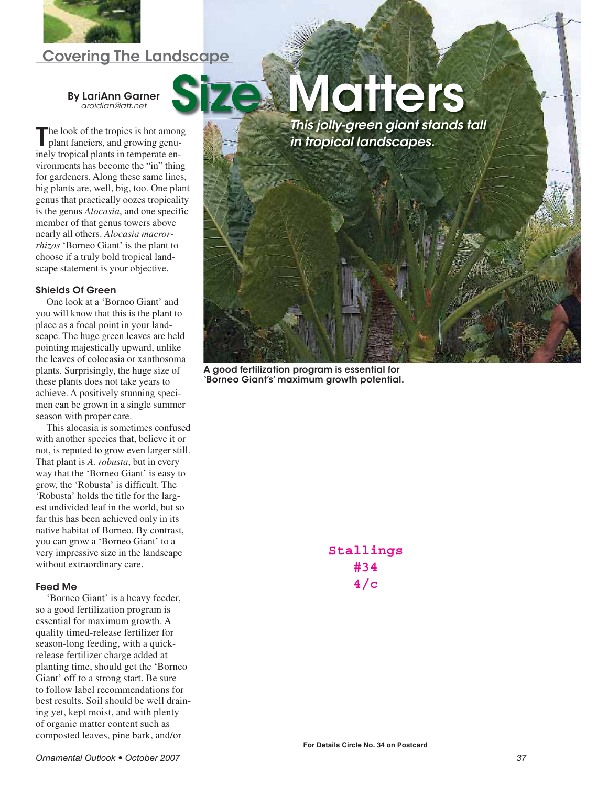

# Covering The Landscape

### By LariAnn Garner *aroidian@att.net*

The look of the tropics is hot among<br>plant fanciers, and growing genuinely tropical plants in temperate environments has become the "in" thing for gardeners. Along these same lines, big plants are, well, big, too. One plant genus that practically oozes tropicality is the genus *Alocasia*, and one specific member of that genus towers above nearly all others. *Alocasia macrorrhizos* 'Borneo Giant' is the plant to choose if a truly bold tropical landscape statement is your objective.

### Shields Of Green

One look at a 'Borneo Giant' and you will know that this is the plant to place as a focal point in your landscape. The huge green leaves are held pointing majestically upward, unlike the leaves of colocasia or xanthosoma plants. Surprisingly, the huge size of these plants does not take years to achieve. A positively stunning specimen can be grown in a single summer season with proper care.

This alocasia is sometimes confused with another species that, believe it or not, is reputed to grow even larger still. That plant is *A. robusta*, but in every way that the 'Borneo Giant' is easy to grow, the 'Robusta' is difficult. The 'Robusta' holds the title for the largest undivided leaf in the world, but so far this has been achieved only in its native habitat of Borneo. By contrast, you can grow a 'Borneo Giant' to a very impressive size in the landscape without extraordinary care.

## Feed Me

'Borneo Giant' is a heavy feeder, so a good fertilization program is essential for maximum growth. A quality timed-release fertilizer for season-long feeding, with a quickrelease fertilizer charge added at planting time, should get the 'Borneo Giant' off to a strong start. Be sure to follow label recommendations for best results. Soil should be well draining yet, kept moist, and with plenty of organic matter content such as composted leaves, pine bark, and/or



A good fertilization program is essential for 'Borneo Giant's' maximum growth potential.

**Stallings #34 4/c**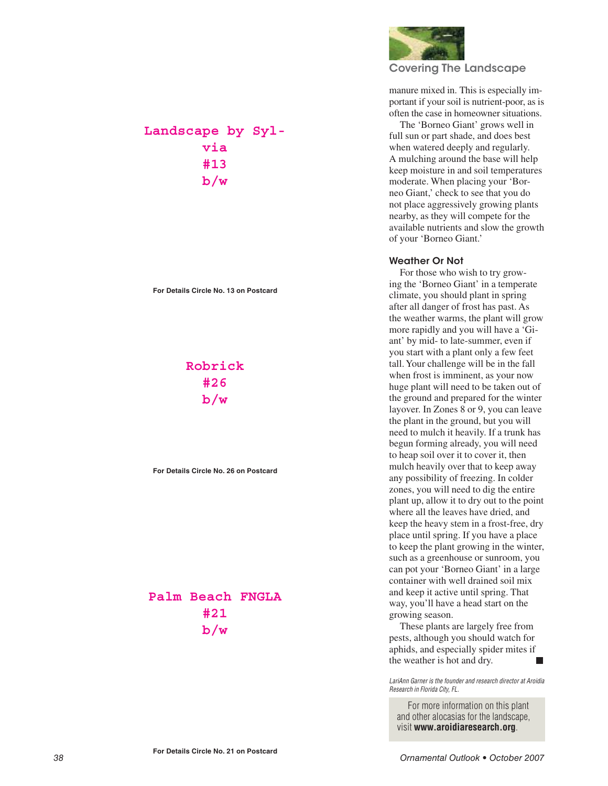

## Covering The Landscape

manure mixed in. This is especially important if your soil is nutrient-poor, as is often the case in homeowner situations.

The 'Borneo Giant' grows well in full sun or part shade, and does best when watered deeply and regularly. A mulching around the base will help keep moisture in and soil temperatures moderate. When placing your 'Borneo Giant,' check to see that you do not place aggressively growing plants nearby, as they will compete for the available nutrients and slow the growth of your 'Borneo Giant.'

### Weather Or Not

For those who wish to try growing the 'Borneo Giant' in a temperate climate, you should plant in spring after all danger of frost has past. As the weather warms, the plant will grow more rapidly and you will have a 'Giant' by mid- to late-summer, even if you start with a plant only a few feet tall. Your challenge will be in the fall when frost is imminent, as your now huge plant will need to be taken out of the ground and prepared for the winter layover. In Zones 8 or 9, you can leave the plant in the ground, but you will need to mulch it heavily. If a trunk has begun forming already, you will need to heap soil over it to cover it, then mulch heavily over that to keep away any possibility of freezing. In colder zones, you will need to dig the entire plant up, allow it to dry out to the point where all the leaves have dried, and keep the heavy stem in a frost-free, dry place until spring. If you have a place to keep the plant growing in the winter, such as a greenhouse or sunroom, you can pot your 'Borneo Giant' in a large container with well drained soil mix and keep it active until spring. That way, you'll have a head start on the growing season.

These plants are largely free from pests, although you should watch for aphids, and especially spider mites if the weather is hot and dry.

*LariAnn Garner is the founder and research director at Aroidia Research in Florida City, FL.*

For more information on this plant and other alocasias for the landscape, visit **www.aroidiaresearch.org** .

**Landscape by Sylvia #13 b/w**

**For Details Circle No. 13 on Postcard**

# **Robrick #26 b/w**

**For Details Circle No. 26 on Postcard**

# **Palm Beach FNGLA #21 b/w**